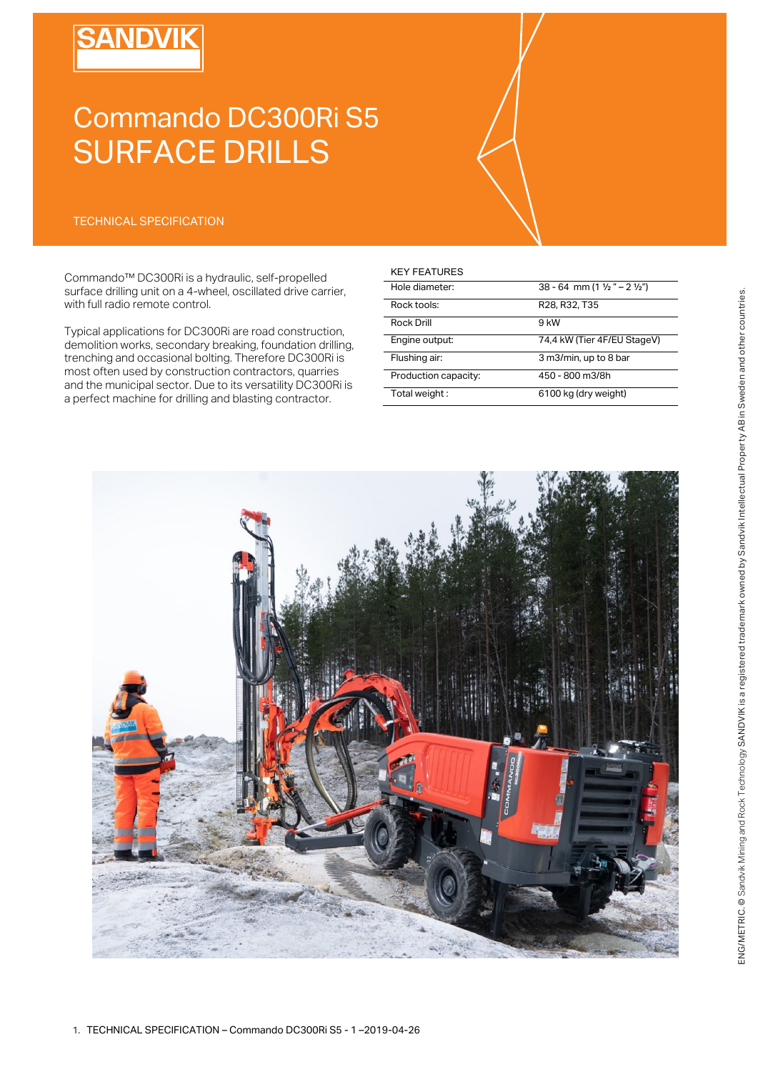# **SANDVIK**

# Commando DC300Ri S5 SURFACE DRILLS

# TECHNICAL SPECIFICATION

Commando™ DC300Ri is a hydraulic, self-propelled surface drilling unit on a 4-wheel, oscillated drive carrier, with full radio remote control.

Typical applications for DC300Ri are road construction, demolition works, secondary breaking, foundation drilling, trenching and occasional bolting. Therefore DC300Ri is most often used by construction contractors, quarries and the municipal sector. Due to its versatility DC300Ri is a perfect machine for drilling and blasting contractor.

| <b>KEY FEATURES</b>  |                                                     |
|----------------------|-----------------------------------------------------|
| Hole diameter:       | 38 - 64 mm (1 $\frac{1}{2}$ " – 2 $\frac{1}{2}$ ")  |
| Rock tools:          | R <sub>28</sub> , R <sub>32</sub> , T <sub>35</sub> |
| <b>Rock Drill</b>    | 9 kW                                                |
| Engine output:       | 74,4 kW (Tier 4F/EU StageV)                         |
| Flushing air:        | 3 m3/min, up to 8 bar                               |
| Production capacity: | 450 - 800 m3/8h                                     |
| Total weight:        | 6100 kg (dry weight)                                |

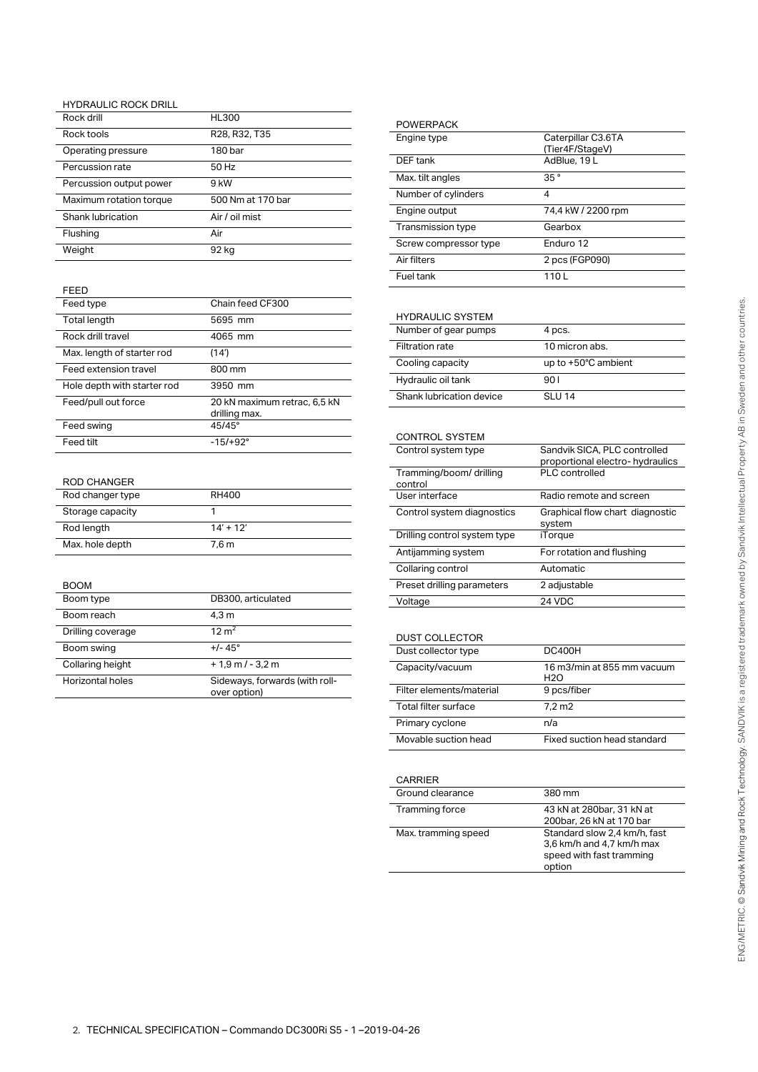## HYDRAULIC ROCK DRILL

| Rock drill              | <b>HL300</b>      |
|-------------------------|-------------------|
| Rock tools              | R28, R32, T35     |
| Operating pressure      | 180 bar           |
| Percussion rate         | 50 Hz             |
| Percussion output power | 9 kW              |
| Maximum rotation torque | 500 Nm at 170 bar |
| Shank lubrication       | Air / oil mist    |
| Flushing                | Air               |
| Weight                  | 92 kg             |

## FEED

| Feed type                   | Chain feed CF300                              |
|-----------------------------|-----------------------------------------------|
| Total length                | 5695 mm                                       |
| Rock drill travel           | 4065 mm                                       |
| Max. length of starter rod  | (14')                                         |
| Feed extension travel       | 800 mm                                        |
| Hole depth with starter rod | 3950 mm                                       |
| Feed/pull out force         | 20 kN maximum retrac, 6,5 kN<br>drilling max. |
| Feed swing                  | $45/45^{\circ}$                               |
| Feed tilt                   | $-15/+92^{\circ}$                             |

#### ROD CHANGER

| Rod changer type | RH400            |
|------------------|------------------|
| Storage capacity |                  |
| Rod length       | $14' + 12'$      |
| Max. hole depth  | 7.6 <sub>m</sub> |

#### BOOM

| Boom type         | DB300, articulated                             |
|-------------------|------------------------------------------------|
| Boom reach        | 4.3 m                                          |
| Drilling coverage | $12 \text{ m}^2$                               |
| Boom swing        | $+/- 45^{\circ}$                               |
| Collaring height  | $+1.9$ m / - 3.2 m                             |
| Horizontal holes  | Sideways, forwards (with roll-<br>over option) |
|                   |                                                |

| <b>POWERPACK</b>      |                    |
|-----------------------|--------------------|
| Engine type           | Caterpillar C3.6TA |
|                       | (Tier4F/StageV)    |
| DEF tank              | AdBlue, 19 L       |
| Max. tilt angles      | 35 <sup>°</sup>    |
| Number of cylinders   | 4                  |
| Engine output         | 74,4 kW / 2200 rpm |
| Transmission type     | Gearbox            |
| Screw compressor type | Enduro 12          |
| Air filters           | 2 pcs (FGP090)     |
| Fuel tank             | 1101               |

### HYDRAULIC SYSTEM

| ,,,,,,,,,,,,,,,,,,,,,,   |                     |
|--------------------------|---------------------|
| Number of gear pumps     | 4 pcs.              |
| <b>Filtration rate</b>   | 10 micron abs.      |
| Cooling capacity         | up to +50°C ambient |
| Hydraulic oil tank       | 90 I                |
| Shank lubrication device | SLU 14              |

| <b>CONTROL SYSTEM</b>              |                                                                  |
|------------------------------------|------------------------------------------------------------------|
| Control system type                | Sandvik SICA, PLC controlled<br>proportional electro- hydraulics |
| Tramming/boom/ drilling<br>control | PLC controlled                                                   |
| User interface                     | Radio remote and screen                                          |
| Control system diagnostics         | Graphical flow chart diagnostic<br>system                        |
| Drilling control system type       | iTorque                                                          |
| Antijamming system                 | For rotation and flushing                                        |
| Collaring control                  | Automatic                                                        |
| Preset drilling parameters         | 2 adjustable                                                     |
| Voltage                            | 24 VDC                                                           |

#### DUST COLLECTOR

| DUUT UULLLUTUIN          |                                   |
|--------------------------|-----------------------------------|
| Dust collector type      | <b>DC400H</b>                     |
| Capacity/vacuum          | 16 m3/min at 855 mm vacuum<br>H2O |
| Filter elements/material | 9 pcs/fiber                       |
| Total filter surface     | $7.2 \text{ m}$ 2                 |
| Primary cyclone          | n/a                               |
| Movable suction head     | Fixed suction head standard       |

| <b>CARRIER</b>      |                                                                                                 |
|---------------------|-------------------------------------------------------------------------------------------------|
| Ground clearance    | 380 mm                                                                                          |
| Tramming force      | 43 kN at 280bar, 31 kN at<br>200bar, 26 kN at 170 bar                                           |
| Max. tramming speed | Standard slow 2.4 km/h, fast<br>3,6 km/h and 4,7 km/h max<br>speed with fast tramming<br>option |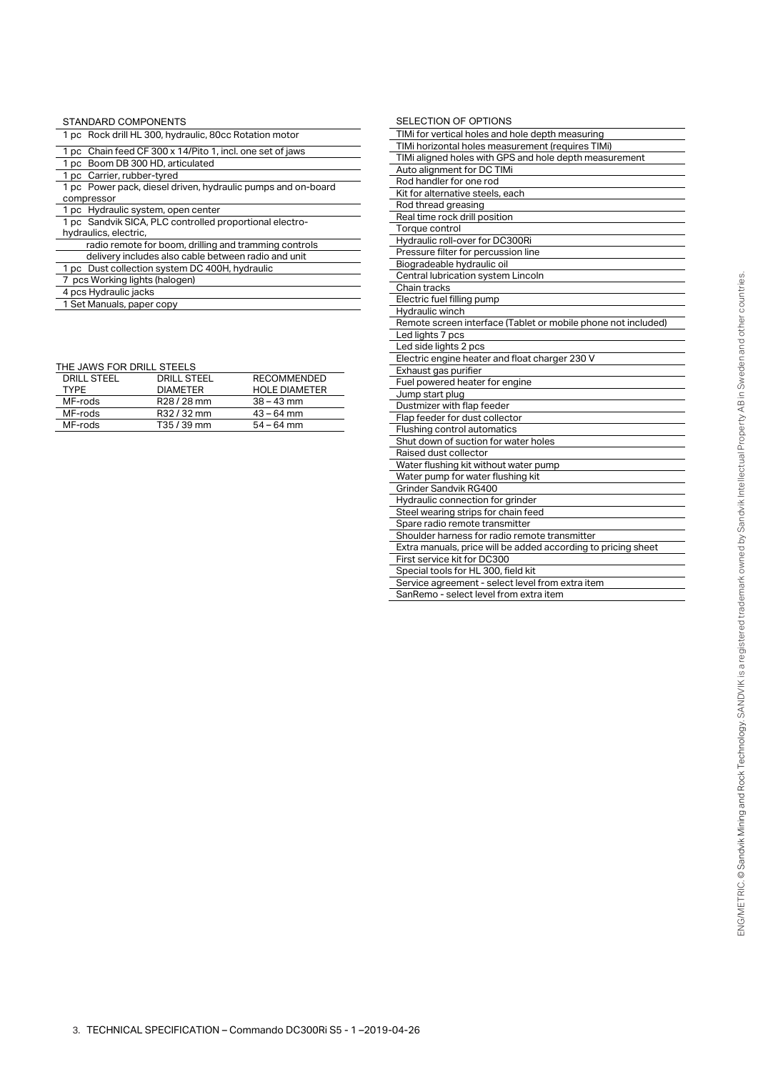| STANDARD COMPONENTS                                          |
|--------------------------------------------------------------|
| 1 pc Rock drill HL 300, hydraulic, 80cc Rotation motor       |
| 1 pc Chain feed CF 300 x 14/Pito 1, incl. one set of jaws    |
| 1 pc Boom DB 300 HD, articulated                             |
| 1 pc Carrier, rubber-tyred                                   |
| 1 pc Power pack, diesel driven, hydraulic pumps and on-board |
| compressor                                                   |
| 1 pc Hydraulic system, open center                           |
| 1 pc Sandvik SICA, PLC controlled proportional electro-      |
| hydraulics, electric,                                        |
| radio remote for boom, drilling and tramming controls        |
| delivery includes also cable between radio and unit          |
| 1 pc Dust collection system DC 400H, hydraulic               |
| 7 pcs Working lights (halogen)                               |
| 4 pcs Hydraulic jacks                                        |
| 1 Set Manuals, paper copy                                    |

| THE JAWS FOR DRILL STEELS |  |
|---------------------------|--|
|---------------------------|--|

| <b>DRILL STEEL</b> | <b>DRILL STEEL</b> | <b>RECOMMENDED</b>   |
|--------------------|--------------------|----------------------|
| <b>TYPF</b>        | <b>DIAMETER</b>    | <b>HOLE DIAMETER</b> |
| MF-rods            | R28/28 mm          | $38 - 43$ mm         |
| MF-rods            | R32/32 mm          | $43 - 64$ mm         |
| MF-rods            | T35/39 mm          | $54 - 64$ mm         |

| SELECTION OF OPTIONS                                          |  |  |
|---------------------------------------------------------------|--|--|
| TIMi for vertical holes and hole depth measuring              |  |  |
| TIMi horizontal holes measurement (requires TIMi)             |  |  |
| TIMi aligned holes with GPS and hole depth measurement        |  |  |
| Auto alignment for DC TIMi                                    |  |  |
| Rod handler for one rod                                       |  |  |
| Kit for alternative steels, each                              |  |  |
| Rod thread greasing                                           |  |  |
| Real time rock drill position                                 |  |  |
| Torque control                                                |  |  |
| Hydraulic roll-over for DC300Ri                               |  |  |
| Pressure filter for percussion line                           |  |  |
| Biogradeable hydraulic oil                                    |  |  |
| Central lubrication system Lincoln                            |  |  |
| Chain tracks                                                  |  |  |
| Electric fuel filling pump                                    |  |  |
| Hydraulic winch                                               |  |  |
| Remote screen interface (Tablet or mobile phone not included) |  |  |
| Led lights 7 pcs                                              |  |  |
| Led side lights 2 pcs                                         |  |  |
| Electric engine heater and float charger 230 V                |  |  |
| Exhaust gas purifier                                          |  |  |
| Fuel powered heater for engine                                |  |  |
| Jump start plug                                               |  |  |
| Dustmizer with flap feeder                                    |  |  |
| Flap feeder for dust collector                                |  |  |
| Flushing control automatics                                   |  |  |
| Shut down of suction for water holes                          |  |  |
| Raised dust collector                                         |  |  |
| Water flushing kit without water pump                         |  |  |
| Water pump for water flushing kit                             |  |  |
| Grinder Sandvik RG400                                         |  |  |
| Hydraulic connection for grinder                              |  |  |
| Steel wearing strips for chain feed                           |  |  |
| Spare radio remote transmitter                                |  |  |
| Shoulder harness for radio remote transmitter                 |  |  |
| Extra manuals, price will be added according to pricing sheet |  |  |
| First service kit for DC300                                   |  |  |
| Special tools for HL 300, field kit                           |  |  |
| Service agreement - select level from extra item              |  |  |
| SanRemo - select level from extra item                        |  |  |
|                                                               |  |  |